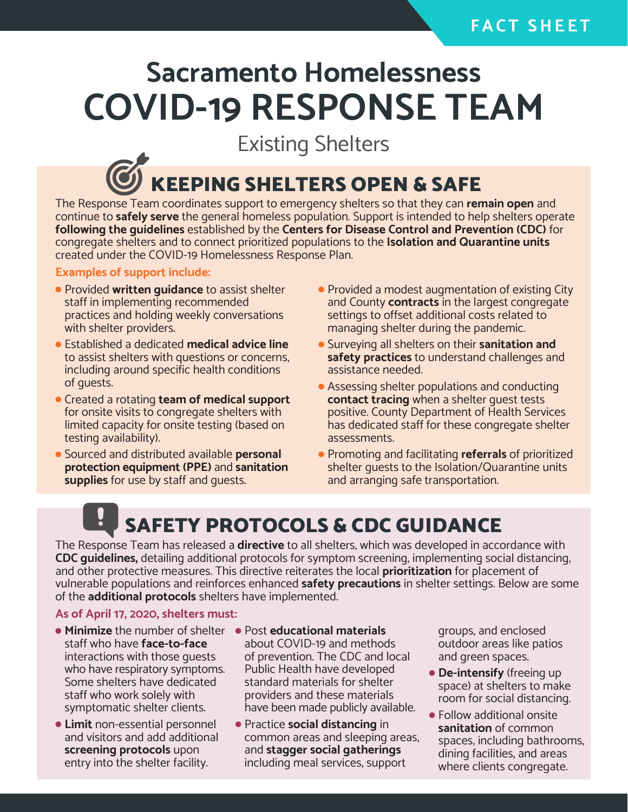### **F A C T S H E E T**

# **Sacramento Homelessness COVID-19 RESPONSE TEAM**

Existing Shelters

## **EEPING SHELTERS OPEN & SAFE**

The Response Team coordinates support to emergency shelters so that they can **remain open** and continue to **safely serve** the general homeless population. Support is intended to help shelters operate **following the guidelines** established by the **Centers for Disease Control and Prevention (CDC)** for congregate shelters and to connect prioritized populations to the **Isolation and Quarantine units** created under the COVID-19 Homelessness Response Plan.

#### **Examples of support include:**

- **Provided written guidance** to assist shelter staff in implementing recommended practices and holding weekly conversations with shelter providers.
- Established a dedicated **medical advice line** to assist shelters with questions or concerns, including around specific health conditions of guests.
- Created a rotating **team of medical support** for onsite visits to congregate shelters with limited capacity for onsite testing (based on testing availability).
- Sourced and distributed available **personal protection equipment (PPE)** and **sanitation supplies** for use by staff and guests.
- Provided a modest augmentation of existing City and County **contracts** in the largest congregate settings to offset additional costs related to managing shelter during the pandemic.
- Surveying all shelters on their **sanitation and safety practices** to understand challenges and assistance needed.
- Assessing shelter populations and conducting **contact tracing** when a shelter guest tests positive. County Department of Health Services has dedicated staff for these congregate shelter assessments.
- Promoting and facilitating **referrals** of prioritized shelter guests to the Isolation/Quarantine units and arranging safe transportation.

## SAFETY PROTOCOLS & CDC GUIDANCE

The Response Team has released a **directive** to all shelters, which was developed in accordance with **CDC guidelines,** detailing additional protocols for symptom screening, implementing social distancing, and other protective measures. This directive reiterates the local **prioritization** for placement of vulnerable populations and reinforces enhanced **safety precautions** in shelter settings. Below are some of the **additional protocols** shelters have implemented.

#### **As of April 17, 2020, shelters must:**

- **Minimize** the number of shelter staff who have **face-to-face** interactions with those guests who have respiratory symptoms. Some shelters have dedicated staff who work solely with symptomatic shelter clients.
- **Limit** non-essential personnel and visitors and add additional **screening protocols** upon entry into the shelter facility.
- Post **educational materials** about COVID-19 and methods of prevention. The CDC and local Public Health have developed standard materials for shelter providers and these materials have been made publicly available.
- Practice **social distancing** in common areas and sleeping areas, and **stagger social gatherings** including meal services, support

groups, and enclosed outdoor areas like patios and green spaces.

- **De-intensify** (freeing up space) at shelters to make room for social distancing.
- Follow additional onsite **sanitation** of common spaces, including bathrooms, dining facilities, and areas where clients congregate.